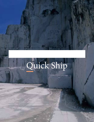# Quick Ship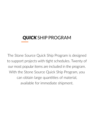## *QUICK* SHIP PROGRAM

The Stone Source Quick Ship Program is designed to support projects with tight schedules. Twenty of our most popular items are included in the program. With the Stone Source Quick Ship Program, you can obtain large quantities of material, available for immediate shipment.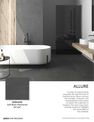

**Anthracite** Soft Bush-Hammered 24"x24"

### ALLURE

A series of colored-body porcelain tile with the look of marbled stone. Allure conveys the strength, character, and temperament of the stone on which this collection is inspired. The veins have been carefully treated to highlight the personality of this material.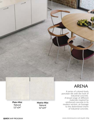

**Plain-Mist** Natural 12"x24"

**Matrix-Mist** Natural 12"x24"

### ARENA

A series of colored-body porcelain tile with the look of industrial concrete. A broad range of different materials inspired by reinforced concrete in its modern version, an homage to the determined charm of industrial concrete.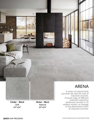**Cinder – Block** Soft 24"x24"

**Nickel – Block** Natural 24"x24"

### ARENA

A series of colored-body porcelain tile with the look of industrial concrete. A broad range of different materials inspired by reinforced concrete in its modern version, an homage to the determined charm of industrial concrete.

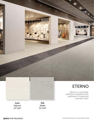

collection inspired by the aesthetics of industrial concrete resin.

**Luna** Natural 12"x24"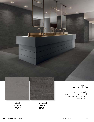

### ETERNO

Eterno is a porcelain collection inspired by the aesthetics of industrial concrete resin.

**Steel** Natural 12"x24"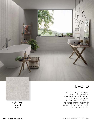



**Light Grey Natural** 12"x24"

### EVO\_Q

Evo-Q is a series of inkjet, through-color porcelain tiles designed with neutral shades, delicate, modern colors and minimalist styles. The series has the feeling of natural stone enriched with texture and depth.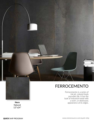

### FERROCEMENTO

Ferrocemento is a series of ink-jet, colored-body porcelain tile. It has the look of industrial metal with a worn, or distressed, appearance at its edges.

**Nero** Natural 12"x24"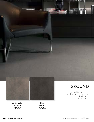

### GROUND

Ground is a series of colored-body porcelain tile with the look of natural stone.

**Anthracite** Natural 24"x24"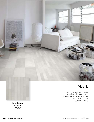

Mate is a series of glazed porcelain tile based on a theme of opposites. Inspired by contrasts and contradictions.

**Terra Grigio** Natural 12"x24"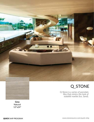

### Q\_STONE

Q-Stone is a series of porcelain tiles that mimics the look of stalatitti marble (Ice, Sand).

**Grey** Natural 12"x24"

www.stonesource.com/quick-ship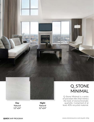

**Day** Natural 12"x24"

# MINIMAL

Q-Stone Minimal is a series of porcelain tiles that mimics the look of monochromatic quartzite. Comprised of at least 40% recycled material.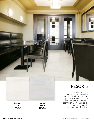

Matte 12"x24"

### RESORTS

Resorts is a series of colored-body porcelain tile with the look of natural quartzite and limestone. It is manufactured with HD technology, which gives the material a realistic appearance of texture.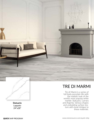

Tre di Marmi is a series of full body porcelain tile with the realistic look of the world's most popular white marble: Statuario, Carrara and Argenta. Various shapes and undulating surface texture add visual intrigue to these materials.

**Statuario** Lappato 24"x28"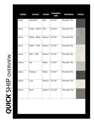| <b>SERIES</b> | <b>COLOR</b>   | <b>FINISH</b>  | <b>NOMINAL</b><br><b>SIZE</b> | <b>MATERIAL</b>       | <b>IMAGE</b> |
|---------------|----------------|----------------|-------------------------------|-----------------------|--------------|
| Allure        | Anthracite     | Soft           | 24"x24"                       | Porcelain Tile        |              |
| Arena         | Cinder - Block | Soft           | 24"x24"                       | Porcelain Tile        |              |
| Arena         | Nickel - Block | <b>Natural</b> | 24"x24"                       | Porcelain Tile        |              |
| Arena         | Matrix - Mist  | Natural        | 12"x24"                       | <b>Porcelain Tile</b> |              |
| Arena         | Plain - Mist   | <b>Natural</b> | 12"x24"                       | Porcelain Tile        |              |
| Eterno        | Ash            | Matte          | 12"x24"                       | Porcelain Tile        |              |
| Eterno        | Charcoal       | Matte          | 12"x24"                       | Porcelain Tile        |              |
| Eterno        | Luna           | Natural        | 12"x24"                       | Porcelain Tile        |              |
| Eterno        | <b>Steel</b>   | <b>Natural</b> | 12"x24"                       | <b>Porcelain Tile</b> |              |
|               |                |                |                               |                       |              |

QUICK SHIP OVERVIEW *QUICK* SHIP OVERVIEW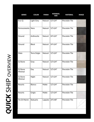| <b>SERIES</b>      | <b>COLOR</b>  | <b>FINISH</b>  | <b>NOMINAL</b><br><b>SIZE</b> | <b>MATERIAL</b> | <b>IMAGE</b> |
|--------------------|---------------|----------------|-------------------------------|-----------------|--------------|
| Evo-Q              | Light Grey    | <b>Natural</b> | 12"x24"                       | Porcelain Tile  |              |
| Ferrocemento       | Nero          | Natural        | 12"x24"                       | Porcelain Tile  |              |
| Ground             | Anthracite    | <b>Natural</b> | 24"x24"                       | Porcelain Tile  |              |
| Ground             | <b>Black</b>  | Natural        | 24"x24"                       | Porcelain Tile  |              |
| Mate               | Terra Grigio  | Natural        | 12"x24"                       | Porcelain Tile  |              |
| Q-Stone            | Gray          | Natural        | 12"x24"                       | Porcelain Tile  |              |
| Q-Stone<br>Minimal | Day           | Natural        | 12"x24"                       | Porcelain Tile  |              |
| Q-Stone<br>Minimal | Night         | Natural        | 12"x24"                       | Porcelain Tile  |              |
| Resorts            | <b>Bianco</b> | Matte          | 12"x24"                       | Porcelain Tile  |              |
| Resorts            | Grigio        | Matte          | 12"x24"                       | Porcelain Tile  |              |
| Tre Di Marmi       | Statuario     | Lappato        | 24"x48"                       | Porcelain Tile  |              |

**QUICK SHIP OVERVIEW** *QUICK* SHIP OVERVIEW